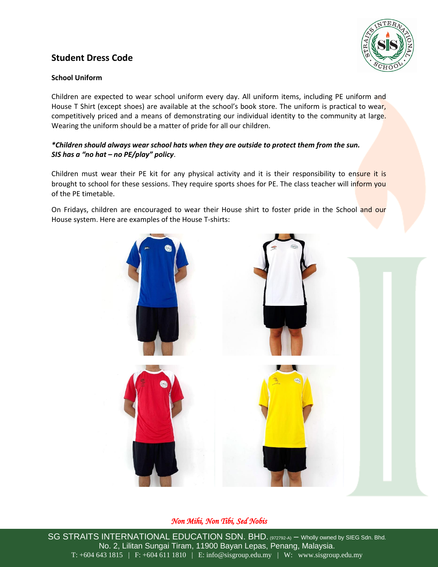# **Student Dress Code**



### **School Uniform**

Children are expected to wear school uniform every day. All uniform items, including PE uniform and House T Shirt (except shoes) are available at the school's book store. The uniform is practical to wear, competitively priced and a means of demonstrating our individual identity to the community at large. Wearing the uniform should be a matter of pride for all our children.

### *\*Children should always wear school hats when they are outside to protect them from the sun. SIS has a "no hat – no PE/play" policy*.

Children must wear their PE kit for any physical activity and it is their responsibility to ensure it is brought to school for these sessions. They require sports shoes for PE. The class teacher will inform you of the PE timetable.

On Fridays, children are encouraged to wear their House shirt to foster pride in the School and our House system. Here are examples of the House T-shirts:



## *Non Mihi, Non Tibi, Sed Nobis*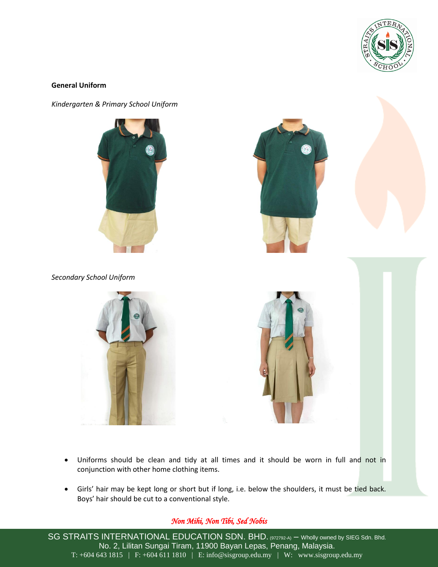

#### **General Uniform**

*Kindergarten & Primary School Uniform*







*Secondary School Uniform*





- Uniforms should be clean and tidy at all times and it should be worn in full and not in conjunction with other home clothing items.
- Girls' hair may be kept long or short but if long, i.e. below the shoulders, it must be tied back. Boys' hair should be cut to a conventional style.

## *Non Mihi, Non Tibi, Sed Nobis*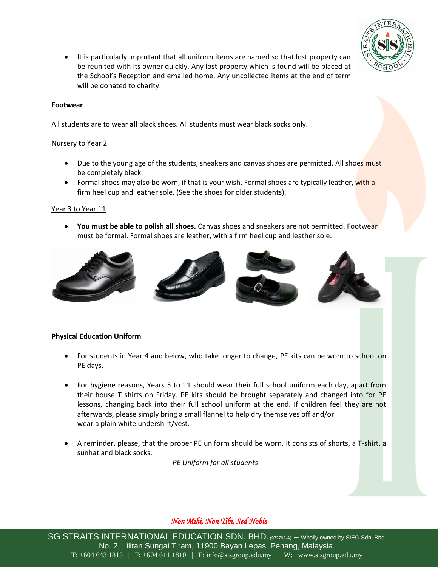

• It is particularly important that all uniform items are named so that lost property can be reunited with its owner quickly. Any lost property which is found will be placed at the School's Reception and emailed home. Any uncollected items at the end of term will be donated to charity.

#### **Footwear**

All students are to wear **all** black shoes. All students must wear black socks only.

#### Nursery to Year 2

- Due to the young age of the students, sneakers and canvas shoes are permitted. All shoes must be completely black.
- Formal shoes may also be worn, if that is your wish. Formal shoes are typically leather, with a firm heel cup and leather sole. (See the shoes for older students).

#### Year 3 to Year 11

 **You must be able to polish all shoes.** Canvas shoes and sneakers are not permitted. Footwear must be formal. Formal shoes are leather, with a firm heel cup and leather sole.



#### **Physical Education Uniform**

- For students in Year 4 and below, who take longer to change, PE kits can be worn to school on PE days.
- For hygiene reasons, Years 5 to 11 should wear their full school uniform each day, apart from their house T shirts on Friday. PE kits should be brought separately and changed into for PE lessons, changing back into their full school uniform at the end. If children feel they are hot afterwards, please simply bring a small flannel to help dry themselves off and/or wear a plain white undershirt/vest.
- A reminder, please, that the proper PE uniform should be worn. It consists of shorts, a T-shirt, a sunhat and black socks.

*PE Uniform for all students*

### *Non Mihi, Non Tibi, Sed Nobis*